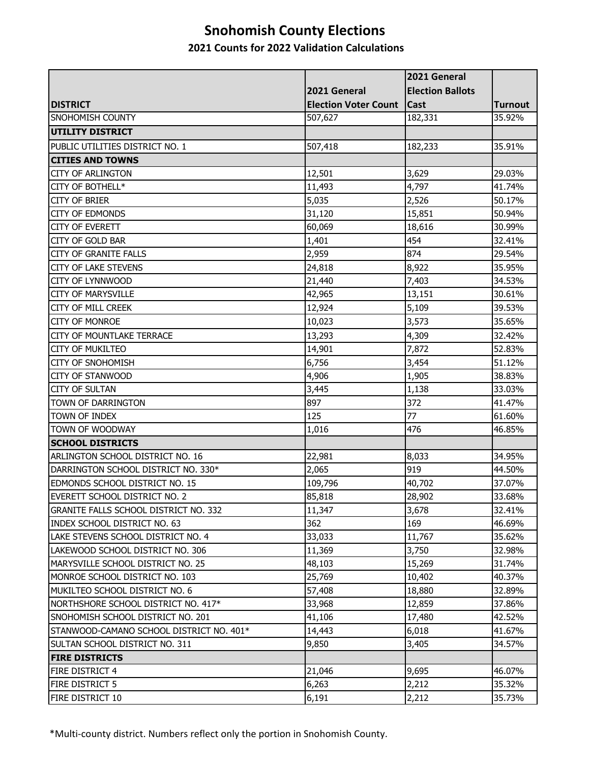# **Snohomish County Elections**

### **2021 Counts for 2022 Validation Calculations**

|                                            |                             | 2021 General            |                |
|--------------------------------------------|-----------------------------|-------------------------|----------------|
|                                            | 2021 General                | <b>Election Ballots</b> |                |
| <b>DISTRICT</b>                            | <b>Election Voter Count</b> | <b>Cast</b>             | <b>Turnout</b> |
| SNOHOMISH COUNTY                           | 507,627                     | 182,331                 | 35.92%         |
| <b>UTILITY DISTRICT</b>                    |                             |                         |                |
| PUBLIC UTILITIES DISTRICT NO. 1            | 507,418                     | 182,233                 | 35.91%         |
| <b>CITIES AND TOWNS</b>                    |                             |                         |                |
| <b>CITY OF ARLINGTON</b>                   | 12,501                      | 3,629                   | 29.03%         |
| CITY OF BOTHELL*                           | 11,493                      | 4,797                   | 41.74%         |
| <b>CITY OF BRIER</b>                       | 5,035                       | 2,526                   | 50.17%         |
| <b>CITY OF EDMONDS</b>                     | 31,120                      | 15,851                  | 50.94%         |
| <b>CITY OF EVERETT</b>                     | 60,069                      | 18,616                  | 30.99%         |
| CITY OF GOLD BAR                           | 1,401                       | 454                     | 32.41%         |
| <b>CITY OF GRANITE FALLS</b>               | 2,959                       | 874                     | 29.54%         |
| <b>CITY OF LAKE STEVENS</b>                | 24,818                      | 8,922                   | 35.95%         |
| <b>CITY OF LYNNWOOD</b>                    | 21,440                      | 7,403                   | 34.53%         |
| <b>CITY OF MARYSVILLE</b>                  | 42,965                      | 13,151                  | 30.61%         |
| CITY OF MILL CREEK                         | 12,924                      | 5,109                   | 39.53%         |
| <b>CITY OF MONROE</b>                      | 10,023                      | 3,573                   | 35.65%         |
| CITY OF MOUNTLAKE TERRACE                  | 13,293                      | 4,309                   | 32.42%         |
| <b>CITY OF MUKILTEO</b>                    | 14,901                      | 7,872                   | 52.83%         |
| <b>CITY OF SNOHOMISH</b>                   | 6,756                       | 3,454                   | 51.12%         |
| <b>CITY OF STANWOOD</b>                    | 4,906                       | 1,905                   | 38.83%         |
| <b>CITY OF SULTAN</b>                      | 3,445                       | 1,138                   | 33.03%         |
| TOWN OF DARRINGTON                         | 897<br>125                  | 372<br>77               | 41.47%         |
| TOWN OF INDEX                              |                             |                         | 61.60%         |
| TOWN OF WOODWAY<br><b>SCHOOL DISTRICTS</b> | 1,016                       | 476                     | 46.85%         |
| ARLINGTON SCHOOL DISTRICT NO. 16           | 22,981                      | 8,033                   | 34.95%         |
| DARRINGTON SCHOOL DISTRICT NO. 330*        | 2,065                       | 919                     | 44.50%         |
| EDMONDS SCHOOL DISTRICT NO. 15             | 109,796                     | 40,702                  | 37.07%         |
| ieverett school district no. 2             | 85,818                      | 28,902                  | 33.68%         |
| GRANITE FALLS SCHOOL DISTRICT NO. 332      | 11,347                      | 3,678                   | 32.41%         |
| INDEX SCHOOL DISTRICT NO. 63               | 362                         | 169                     | 46.69%         |
| LAKE STEVENS SCHOOL DISTRICT NO. 4         | 33,033                      | 11,767                  | 35.62%         |
| LAKEWOOD SCHOOL DISTRICT NO. 306           | 11,369                      | 3,750                   | 32.98%         |
| MARYSVILLE SCHOOL DISTRICT NO. 25          | 48,103                      | 15,269                  | 31.74%         |
| MONROE SCHOOL DISTRICT NO. 103             | 25,769                      | 10,402                  | 40.37%         |
| MUKILTEO SCHOOL DISTRICT NO. 6             | 57,408                      | 18,880                  | 32.89%         |
| NORTHSHORE SCHOOL DISTRICT NO. 417*        | 33,968                      | 12,859                  | 37.86%         |
| SNOHOMISH SCHOOL DISTRICT NO. 201          | 41,106                      | 17,480                  | 42.52%         |
| STANWOOD-CAMANO SCHOOL DISTRICT NO. 401*   | 14,443                      | 6,018                   | 41.67%         |
| SULTAN SCHOOL DISTRICT NO. 311             | 9,850                       | 3,405                   | 34.57%         |
| <b>FIRE DISTRICTS</b>                      |                             |                         |                |
| FIRE DISTRICT 4                            | 21,046                      | 9,695                   | 46.07%         |
| FIRE DISTRICT 5                            | 6,263                       | 2,212                   | 35.32%         |
| FIRE DISTRICT 10                           | 6,191                       | 2,212                   | 35.73%         |

\*Multi-county district. Numbers reflect only the portion in Snohomish County.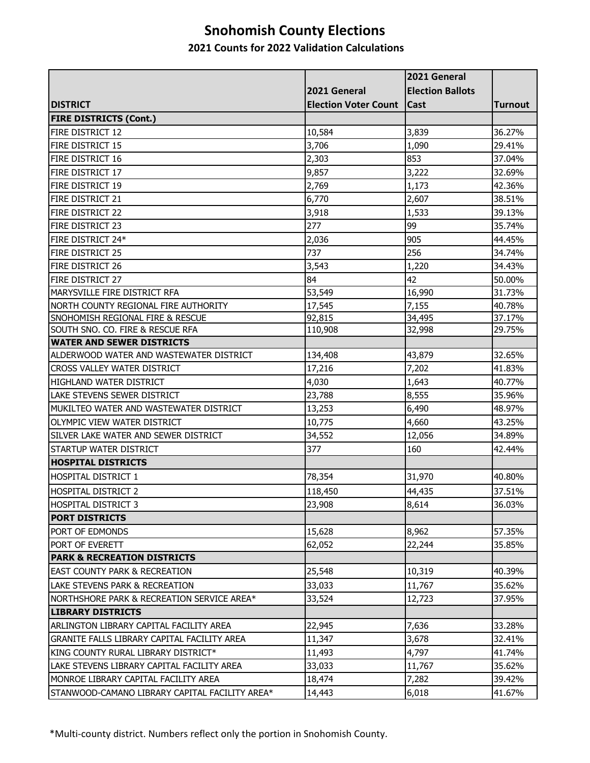# **Snohomish County Elections**

### **2021 Counts for 2022 Validation Calculations**

|                                                |                             | 2021 General            |                |
|------------------------------------------------|-----------------------------|-------------------------|----------------|
|                                                | 2021 General                | <b>Election Ballots</b> |                |
| <b>DISTRICT</b>                                | <b>Election Voter Count</b> | <b>Cast</b>             | <b>Turnout</b> |
| <b>FIRE DISTRICTS (Cont.)</b>                  |                             |                         |                |
| FIRE DISTRICT 12                               | 10,584                      | 3,839                   | 36.27%         |
| FIRE DISTRICT 15                               | 3,706                       | 1,090                   | 29.41%         |
| FIRE DISTRICT 16                               | 2,303                       | 853                     | 37.04%         |
| FIRE DISTRICT 17                               | 9,857                       | 3,222                   | 32.69%         |
| FIRE DISTRICT 19                               | 2,769                       | 1,173                   | 42.36%         |
| <b>FIRE DISTRICT 21</b>                        | 6,770                       | 2,607                   | 38.51%         |
| FIRE DISTRICT 22                               | 3,918                       | 1,533                   | 39.13%         |
| FIRE DISTRICT 23                               | 277                         | 99                      | 35.74%         |
| FIRE DISTRICT 24*                              | 2,036                       | 905                     | 44.45%         |
| FIRE DISTRICT 25                               | 737                         | 256                     | 34.74%         |
| FIRE DISTRICT 26                               | 3,543                       | 1,220                   | 34.43%         |
| FIRE DISTRICT 27                               | 84                          | 42                      | 50.00%         |
| MARYSVILLE FIRE DISTRICT RFA                   | 53,549                      | 16,990                  | 31.73%         |
| NORTH COUNTY REGIONAL FIRE AUTHORITY           | 17,545                      | 7,155                   | 40.78%         |
| SNOHOMISH REGIONAL FIRE & RESCUE               | 92,815                      | 34,495                  | 37.17%         |
| SOUTH SNO. CO. FIRE & RESCUE RFA               | 110,908                     | 32,998                  | 29.75%         |
| <b>WATER AND SEWER DISTRICTS</b>               |                             |                         |                |
| ALDERWOOD WATER AND WASTEWATER DISTRICT        | 134,408                     | 43,879                  | 32.65%         |
| CROSS VALLEY WATER DISTRICT                    | 17,216                      | 7,202                   | 41.83%         |
| HIGHLAND WATER DISTRICT                        | 4,030                       | 1,643                   | 40.77%         |
| LAKE STEVENS SEWER DISTRICT                    | 23,788                      | 8,555                   | 35.96%         |
| MUKILTEO WATER AND WASTEWATER DISTRICT         | 13,253                      | 6,490                   | 48.97%         |
| OLYMPIC VIEW WATER DISTRICT                    | 10,775                      | 4,660                   | 43.25%         |
| SILVER LAKE WATER AND SEWER DISTRICT           | 34,552                      | 12,056                  | 34.89%         |
| STARTUP WATER DISTRICT                         | 377                         | 160                     | 42.44%         |
| <b>HOSPITAL DISTRICTS</b>                      |                             |                         |                |
| <b>HOSPITAL DISTRICT 1</b>                     | 78,354                      | 31,970                  | 40.80%         |
| ihospital district 2                           | 118,450                     | 44,435                  | 37.51%         |
| ihospital district 3                           | 23,908                      | 8,614                   | 36.03%         |
| <b>PORT DISTRICTS</b>                          |                             |                         |                |
| PORT OF EDMONDS                                | 15,628                      | 8,962                   | 57.35%         |
| PORT OF EVERETT                                | 62,052                      | 22,244                  | 35.85%         |
| <b>PARK &amp; RECREATION DISTRICTS</b>         |                             |                         |                |
| <b>EAST COUNTY PARK &amp; RECREATION</b>       | 25,548                      | 10,319                  | 40.39%         |
| LAKE STEVENS PARK & RECREATION                 | 33,033                      | 11,767                  | 35.62%         |
| NORTHSHORE PARK & RECREATION SERVICE AREA*     | 33,524                      | 12,723                  | 37.95%         |
| <b>LIBRARY DISTRICTS</b>                       |                             |                         |                |
| ARLINGTON LIBRARY CAPITAL FACILITY AREA        | 22,945                      | 7,636                   | 33.28%         |
| GRANITE FALLS LIBRARY CAPITAL FACILITY AREA    | 11,347                      | 3,678                   | 32.41%         |
| KING COUNTY RURAL LIBRARY DISTRICT*            | 11,493                      | 4,797                   | 41.74%         |
| LAKE STEVENS LIBRARY CAPITAL FACILITY AREA     | 33,033                      | 11,767                  | 35.62%         |
| MONROE LIBRARY CAPITAL FACILITY AREA           | 18,474                      | 7,282                   | 39.42%         |
| STANWOOD-CAMANO LIBRARY CAPITAL FACILITY AREA* | 14,443                      | 6,018                   | 41.67%         |

\*Multi-county district. Numbers reflect only the portion in Snohomish County.